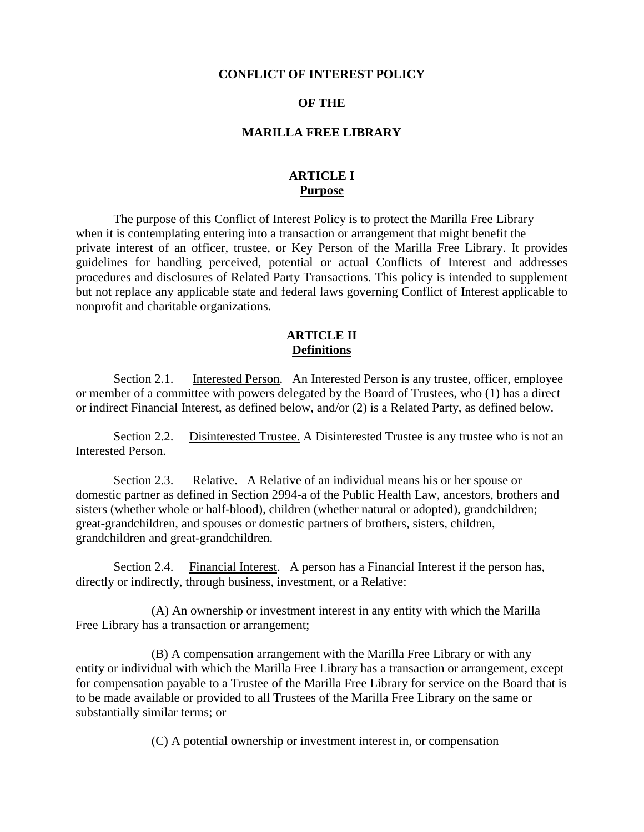#### **CONFLICT OF INTEREST POLICY**

#### **OF THE**

#### **MARILLA FREE LIBRARY**

## **ARTICLE I Purpose**

The purpose of this Conflict of Interest Policy is to protect the Marilla Free Library when it is contemplating entering into a transaction or arrangement that might benefit the private interest of an officer, trustee, or Key Person of the Marilla Free Library. It provides guidelines for handling perceived, potential or actual Conflicts of Interest and addresses procedures and disclosures of Related Party Transactions. This policy is intended to supplement but not replace any applicable state and federal laws governing Conflict of Interest applicable to nonprofit and charitable organizations.

#### **ARTICLE II Definitions**

Section 2.1. Interested Person. An Interested Person is any trustee, officer, employee or member of a committee with powers delegated by the Board of Trustees, who (1) has a direct or indirect Financial Interest, as defined below, and/or (2) is a Related Party, as defined below.

Section 2.2. Disinterested Trustee. A Disinterested Trustee is any trustee who is not an Interested Person.

Section 2.3. Relative. A Relative of an individual means his or her spouse or domestic partner as defined in Section 2994-a of the Public Health Law, ancestors, brothers and sisters (whether whole or half-blood), children (whether natural or adopted), grandchildren; great-grandchildren, and spouses or domestic partners of brothers, sisters, children, grandchildren and great-grandchildren.

Section 2.4. Financial Interest. A person has a Financial Interest if the person has, directly or indirectly, through business, investment, or a Relative:

(A) An ownership or investment interest in any entity with which the Marilla Free Library has a transaction or arrangement;

(B) A compensation arrangement with the Marilla Free Library or with any entity or individual with which the Marilla Free Library has a transaction or arrangement, except for compensation payable to a Trustee of the Marilla Free Library for service on the Board that is to be made available or provided to all Trustees of the Marilla Free Library on the same or substantially similar terms; or

(C) A potential ownership or investment interest in, or compensation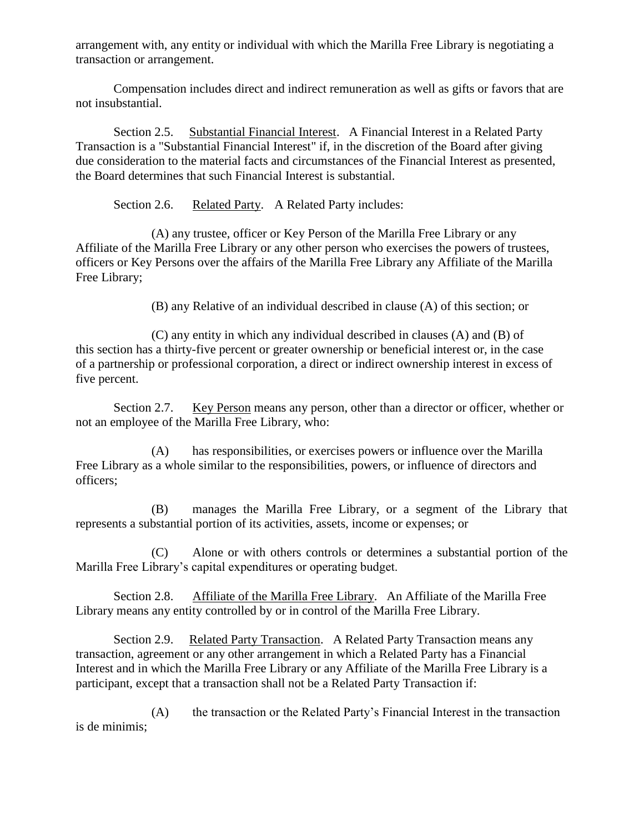arrangement with, any entity or individual with which the Marilla Free Library is negotiating a transaction or arrangement.

Compensation includes direct and indirect remuneration as well as gifts or favors that are not insubstantial.

Section 2.5. Substantial Financial Interest. A Financial Interest in a Related Party Transaction is a "Substantial Financial Interest" if, in the discretion of the Board after giving due consideration to the material facts and circumstances of the Financial Interest as presented, the Board determines that such Financial Interest is substantial.

Section 2.6. Related Party. A Related Party includes:

(A) any trustee, officer or Key Person of the Marilla Free Library or any Affiliate of the Marilla Free Library or any other person who exercises the powers of trustees, officers or Key Persons over the affairs of the Marilla Free Library any Affiliate of the Marilla Free Library;

(B) any Relative of an individual described in clause (A) of this section; or

(C) any entity in which any individual described in clauses (A) and (B) of this section has a thirty-five percent or greater ownership or beneficial interest or, in the case of a partnership or professional corporation, a direct or indirect ownership interest in excess of five percent.

Section 2.7. Key Person means any person, other than a director or officer, whether or not an employee of the Marilla Free Library, who:

(A) has responsibilities, or exercises powers or influence over the Marilla Free Library as a whole similar to the responsibilities, powers, or influence of directors and officers;

(B) manages the Marilla Free Library, or a segment of the Library that represents a substantial portion of its activities, assets, income or expenses; or

(C) Alone or with others controls or determines a substantial portion of the Marilla Free Library's capital expenditures or operating budget.

Section 2.8. Affiliate of the Marilla Free Library. An Affiliate of the Marilla Free Library means any entity controlled by or in control of the Marilla Free Library.

Section 2.9. Related Party Transaction. A Related Party Transaction means any transaction, agreement or any other arrangement in which a Related Party has a Financial Interest and in which the Marilla Free Library or any Affiliate of the Marilla Free Library is a participant, except that a transaction shall not be a Related Party Transaction if:

(A) the transaction or the Related Party's Financial Interest in the transaction is de minimis;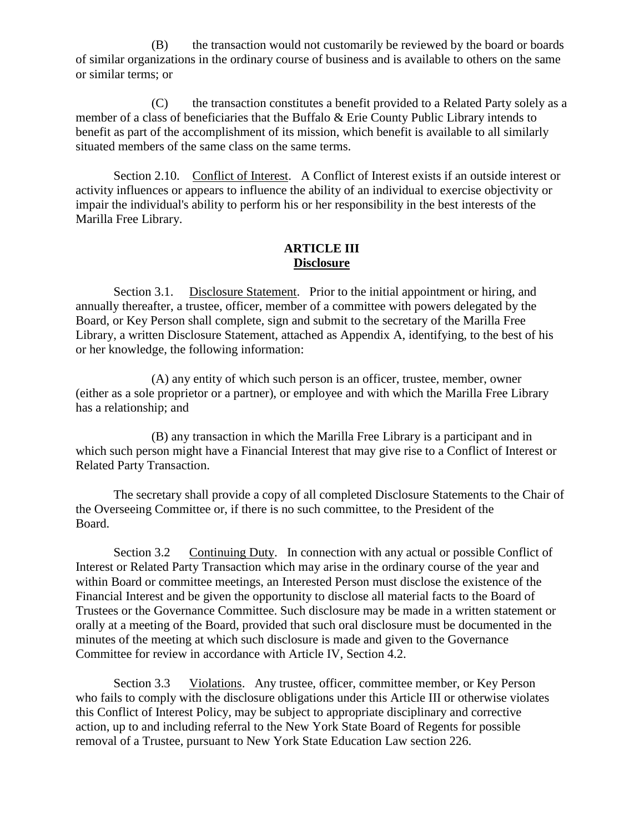(B) the transaction would not customarily be reviewed by the board or boards of similar organizations in the ordinary course of business and is available to others on the same or similar terms; or

(C) the transaction constitutes a benefit provided to a Related Party solely as a member of a class of beneficiaries that the Buffalo & Erie County Public Library intends to benefit as part of the accomplishment of its mission, which benefit is available to all similarly situated members of the same class on the same terms.

Section 2.10. Conflict of Interest. A Conflict of Interest exists if an outside interest or activity influences or appears to influence the ability of an individual to exercise objectivity or impair the individual's ability to perform his or her responsibility in the best interests of the Marilla Free Library.

### **ARTICLE III Disclosure**

Section 3.1. Disclosure Statement. Prior to the initial appointment or hiring, and annually thereafter, a trustee, officer, member of a committee with powers delegated by the Board, or Key Person shall complete, sign and submit to the secretary of the Marilla Free Library, a written Disclosure Statement, attached as Appendix A, identifying, to the best of his or her knowledge, the following information:

(A) any entity of which such person is an officer, trustee, member, owner (either as a sole proprietor or a partner), or employee and with which the Marilla Free Library has a relationship; and

(B) any transaction in which the Marilla Free Library is a participant and in which such person might have a Financial Interest that may give rise to a Conflict of Interest or Related Party Transaction.

The secretary shall provide a copy of all completed Disclosure Statements to the Chair of the Overseeing Committee or, if there is no such committee, to the President of the Board.

Section 3.2 Continuing Duty. In connection with any actual or possible Conflict of Interest or Related Party Transaction which may arise in the ordinary course of the year and within Board or committee meetings, an Interested Person must disclose the existence of the Financial Interest and be given the opportunity to disclose all material facts to the Board of Trustees or the Governance Committee. Such disclosure may be made in a written statement or orally at a meeting of the Board, provided that such oral disclosure must be documented in the minutes of the meeting at which such disclosure is made and given to the Governance Committee for review in accordance with Article IV, Section 4.2.

Section 3.3 Violations. Any trustee, officer, committee member, or Key Person who fails to comply with the disclosure obligations under this Article III or otherwise violates this Conflict of Interest Policy, may be subject to appropriate disciplinary and corrective action, up to and including referral to the New York State Board of Regents for possible removal of a Trustee, pursuant to New York State Education Law section 226.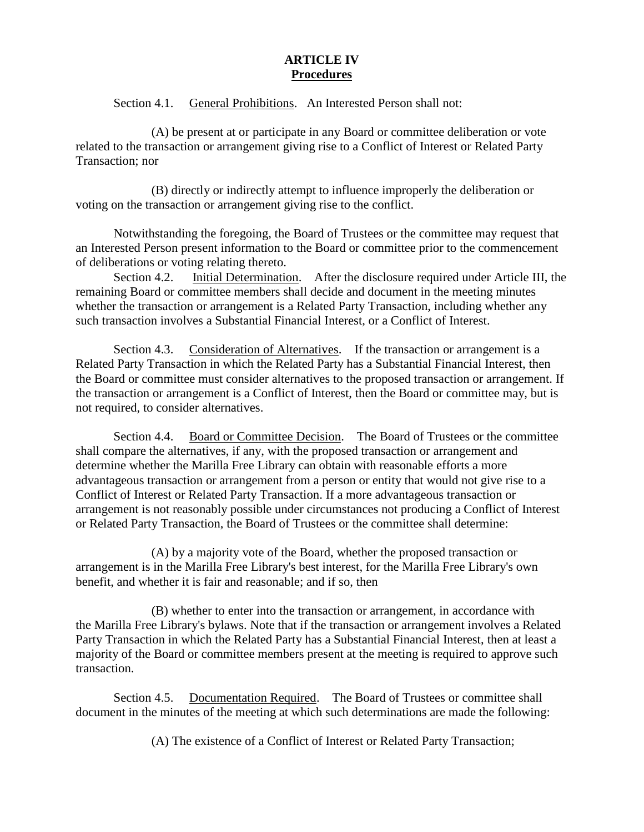## **ARTICLE IV Procedures**

Section 4.1. General Prohibitions. An Interested Person shall not:

(A) be present at or participate in any Board or committee deliberation or vote related to the transaction or arrangement giving rise to a Conflict of Interest or Related Party Transaction; nor

(B) directly or indirectly attempt to influence improperly the deliberation or voting on the transaction or arrangement giving rise to the conflict.

Notwithstanding the foregoing, the Board of Trustees or the committee may request that an Interested Person present information to the Board or committee prior to the commencement of deliberations or voting relating thereto.

Section 4.2. Initial Determination. After the disclosure required under Article III, the remaining Board or committee members shall decide and document in the meeting minutes whether the transaction or arrangement is a Related Party Transaction, including whether any such transaction involves a Substantial Financial Interest, or a Conflict of Interest.

Section 4.3. Consideration of Alternatives. If the transaction or arrangement is a Related Party Transaction in which the Related Party has a Substantial Financial Interest, then the Board or committee must consider alternatives to the proposed transaction or arrangement. If the transaction or arrangement is a Conflict of Interest, then the Board or committee may, but is not required, to consider alternatives.

Section 4.4. Board or Committee Decision. The Board of Trustees or the committee shall compare the alternatives, if any, with the proposed transaction or arrangement and determine whether the Marilla Free Library can obtain with reasonable efforts a more advantageous transaction or arrangement from a person or entity that would not give rise to a Conflict of Interest or Related Party Transaction. If a more advantageous transaction or arrangement is not reasonably possible under circumstances not producing a Conflict of Interest or Related Party Transaction, the Board of Trustees or the committee shall determine:

(A) by a majority vote of the Board, whether the proposed transaction or arrangement is in the Marilla Free Library's best interest, for the Marilla Free Library's own benefit, and whether it is fair and reasonable; and if so, then

(B) whether to enter into the transaction or arrangement, in accordance with the Marilla Free Library's bylaws. Note that if the transaction or arrangement involves a Related Party Transaction in which the Related Party has a Substantial Financial Interest, then at least a majority of the Board or committee members present at the meeting is required to approve such transaction.

Section 4.5. Documentation Required. The Board of Trustees or committee shall document in the minutes of the meeting at which such determinations are made the following:

(A) The existence of a Conflict of Interest or Related Party Transaction;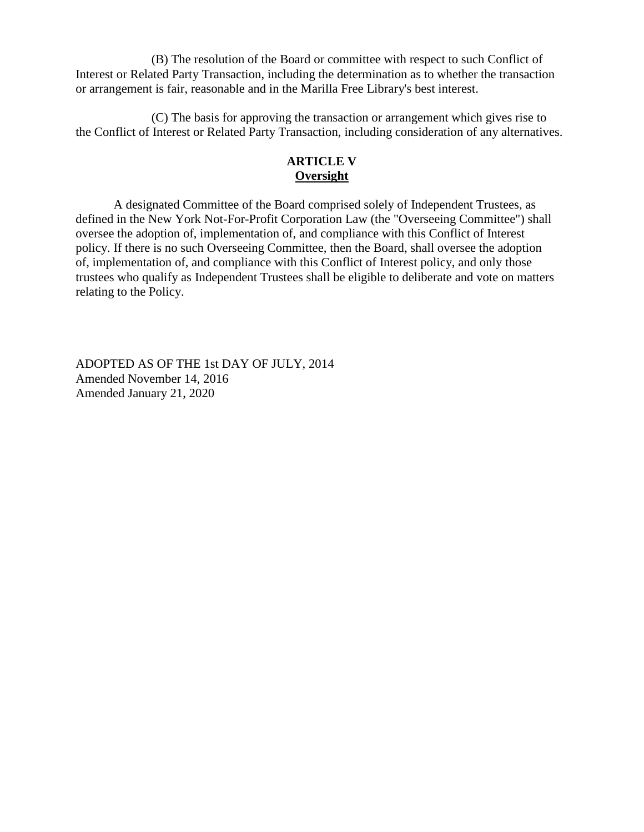(B) The resolution of the Board or committee with respect to such Conflict of Interest or Related Party Transaction, including the determination as to whether the transaction or arrangement is fair, reasonable and in the Marilla Free Library's best interest.

(C) The basis for approving the transaction or arrangement which gives rise to the Conflict of Interest or Related Party Transaction, including consideration of any alternatives.

# **ARTICLE V Oversight**

A designated Committee of the Board comprised solely of Independent Trustees, as defined in the New York Not-For-Profit Corporation Law (the "Overseeing Committee") shall oversee the adoption of, implementation of, and compliance with this Conflict of Interest policy. If there is no such Overseeing Committee, then the Board, shall oversee the adoption of, implementation of, and compliance with this Conflict of Interest policy, and only those trustees who qualify as Independent Trustees shall be eligible to deliberate and vote on matters relating to the Policy.

ADOPTED AS OF THE 1st DAY OF JULY, 2014 Amended November 14, 2016 Amended January 21, 2020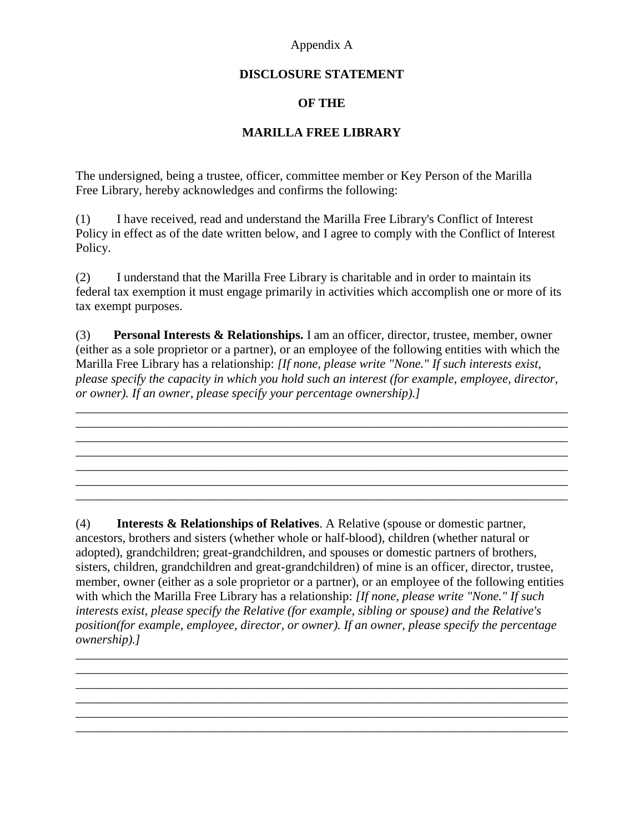## Appendix A

## **DISCLOSURE STATEMENT**

# **OF THE**

## **MARILLA FREE LIBRARY**

The undersigned, being a trustee, officer, committee member or Key Person of the Marilla Free Library, hereby acknowledges and confirms the following:

(1) I have received, read and understand the Marilla Free Library's Conflict of Interest Policy in effect as of the date written below, and I agree to comply with the Conflict of Interest Policy.

(2) I understand that the Marilla Free Library is charitable and in order to maintain its federal tax exemption it must engage primarily in activities which accomplish one or more of its tax exempt purposes.

(3) **Personal Interests & Relationships.** I am an officer, director, trustee, member, owner (either as a sole proprietor or a partner), or an employee of the following entities with which the Marilla Free Library has a relationship: *[If none, please write "None." If such interests exist, please specify the capacity in which you hold such an interest (for example, employee, director, or owner). If an owner, please specify your percentage ownership).]*

\_\_\_\_\_\_\_\_\_\_\_\_\_\_\_\_\_\_\_\_\_\_\_\_\_\_\_\_\_\_\_\_\_\_\_\_\_\_\_\_\_\_\_\_\_\_\_\_\_\_\_\_\_\_\_\_\_\_\_\_\_\_\_\_\_\_\_\_\_\_\_\_\_\_\_\_\_\_ \_\_\_\_\_\_\_\_\_\_\_\_\_\_\_\_\_\_\_\_\_\_\_\_\_\_\_\_\_\_\_\_\_\_\_\_\_\_\_\_\_\_\_\_\_\_\_\_\_\_\_\_\_\_\_\_\_\_\_\_\_\_\_\_\_\_\_\_\_\_\_\_\_\_\_\_\_\_

\_\_\_\_\_\_\_\_\_\_\_\_\_\_\_\_\_\_\_\_\_\_\_\_\_\_\_\_\_\_\_\_\_\_\_\_\_\_\_\_\_\_\_\_\_\_\_\_\_\_\_\_\_\_\_\_\_\_\_\_\_\_\_\_\_\_\_\_\_\_\_\_\_\_\_\_\_\_

\_\_\_\_\_\_\_\_\_\_\_\_\_\_\_\_\_\_\_\_\_\_\_\_\_\_\_\_\_\_\_\_\_\_\_\_\_\_\_\_\_\_\_\_\_\_\_\_\_\_\_\_\_\_\_\_\_\_\_\_\_\_\_\_\_\_\_\_\_\_\_\_\_\_\_\_\_\_ \_\_\_\_\_\_\_\_\_\_\_\_\_\_\_\_\_\_\_\_\_\_\_\_\_\_\_\_\_\_\_\_\_\_\_\_\_\_\_\_\_\_\_\_\_\_\_\_\_\_\_\_\_\_\_\_\_\_\_\_\_\_\_\_\_\_\_\_\_\_\_\_\_\_\_\_\_\_

 $\mathcal{L}_\mathcal{L} = \{ \mathcal{L}_\mathcal{L} = \{ \mathcal{L}_\mathcal{L} = \{ \mathcal{L}_\mathcal{L} = \{ \mathcal{L}_\mathcal{L} = \{ \mathcal{L}_\mathcal{L} = \{ \mathcal{L}_\mathcal{L} = \{ \mathcal{L}_\mathcal{L} = \{ \mathcal{L}_\mathcal{L} = \{ \mathcal{L}_\mathcal{L} = \{ \mathcal{L}_\mathcal{L} = \{ \mathcal{L}_\mathcal{L} = \{ \mathcal{L}_\mathcal{L} = \{ \mathcal{L}_\mathcal{L} = \{ \mathcal{L}_\mathcal{$ 

 $\mathcal{L}_\mathcal{L} = \{ \mathcal{L}_\mathcal{L} = \{ \mathcal{L}_\mathcal{L} = \{ \mathcal{L}_\mathcal{L} = \{ \mathcal{L}_\mathcal{L} = \{ \mathcal{L}_\mathcal{L} = \{ \mathcal{L}_\mathcal{L} = \{ \mathcal{L}_\mathcal{L} = \{ \mathcal{L}_\mathcal{L} = \{ \mathcal{L}_\mathcal{L} = \{ \mathcal{L}_\mathcal{L} = \{ \mathcal{L}_\mathcal{L} = \{ \mathcal{L}_\mathcal{L} = \{ \mathcal{L}_\mathcal{L} = \{ \mathcal{L}_\mathcal{$ 

(4) **Interests & Relationships of Relatives**. A Relative (spouse or domestic partner, ancestors, brothers and sisters (whether whole or half-blood), children (whether natural or adopted), grandchildren; great-grandchildren, and spouses or domestic partners of brothers, sisters, children, grandchildren and great-grandchildren) of mine is an officer, director, trustee, member, owner (either as a sole proprietor or a partner), or an employee of the following entities with which the Marilla Free Library has a relationship: *[If none, please write "None." If such interests exist, please specify the Relative (for example, sibling or spouse) and the Relative's position(for example, employee, director, or owner). If an owner, please specify the percentage ownership).]*

\_\_\_\_\_\_\_\_\_\_\_\_\_\_\_\_\_\_\_\_\_\_\_\_\_\_\_\_\_\_\_\_\_\_\_\_\_\_\_\_\_\_\_\_\_\_\_\_\_\_\_\_\_\_\_\_\_\_\_\_\_\_\_\_\_\_\_\_\_\_\_\_\_\_\_\_\_\_ \_\_\_\_\_\_\_\_\_\_\_\_\_\_\_\_\_\_\_\_\_\_\_\_\_\_\_\_\_\_\_\_\_\_\_\_\_\_\_\_\_\_\_\_\_\_\_\_\_\_\_\_\_\_\_\_\_\_\_\_\_\_\_\_\_\_\_\_\_\_\_\_\_\_\_\_\_\_ \_\_\_\_\_\_\_\_\_\_\_\_\_\_\_\_\_\_\_\_\_\_\_\_\_\_\_\_\_\_\_\_\_\_\_\_\_\_\_\_\_\_\_\_\_\_\_\_\_\_\_\_\_\_\_\_\_\_\_\_\_\_\_\_\_\_\_\_\_\_\_\_\_\_\_\_\_\_

\_\_\_\_\_\_\_\_\_\_\_\_\_\_\_\_\_\_\_\_\_\_\_\_\_\_\_\_\_\_\_\_\_\_\_\_\_\_\_\_\_\_\_\_\_\_\_\_\_\_\_\_\_\_\_\_\_\_\_\_\_\_\_\_\_\_\_\_\_\_\_\_\_\_\_\_\_\_